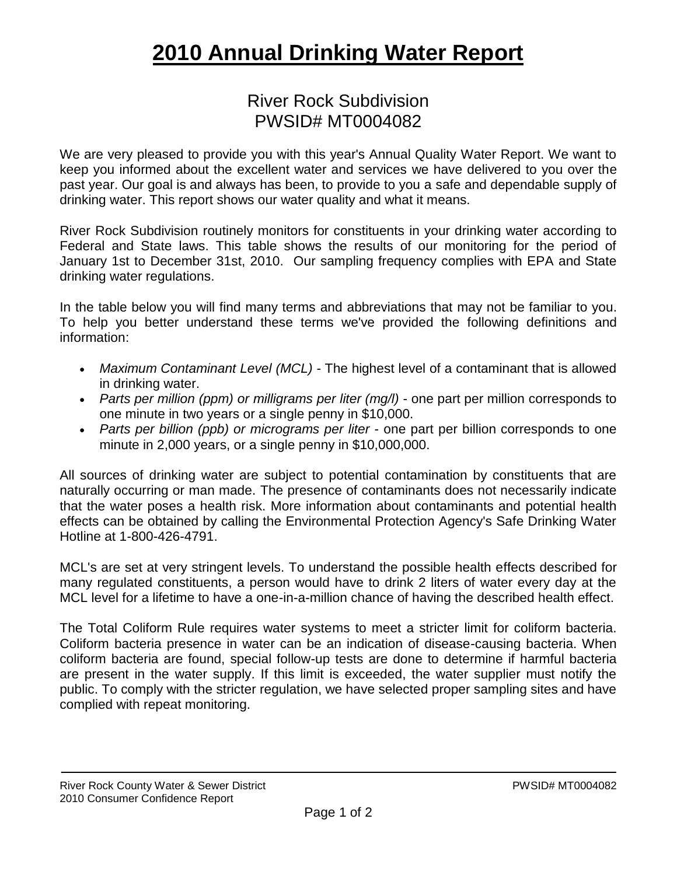## **2010 Annual Drinking Water Report**

## River Rock Subdivision PWSID# MT0004082

We are very pleased to provide you with this year's Annual Quality Water Report. We want to keep you informed about the excellent water and services we have delivered to you over the past year. Our goal is and always has been, to provide to you a safe and dependable supply of drinking water. This report shows our water quality and what it means.

River Rock Subdivision routinely monitors for constituents in your drinking water according to Federal and State laws. This table shows the results of our monitoring for the period of January 1st to December 31st, 2010. Our sampling frequency complies with EPA and State drinking water regulations.

In the table below you will find many terms and abbreviations that may not be familiar to you. To help you better understand these terms we've provided the following definitions and information:

- *Maximum Contaminant Level (MCL) -* The highest level of a contaminant that is allowed in drinking water.
- *Parts per million (ppm) or milligrams per liter (mg/l)* one part per million corresponds to one minute in two years or a single penny in \$10,000.
- *Parts per billion (ppb) or micrograms per liter* one part per billion corresponds to one minute in 2,000 years, or a single penny in \$10,000,000.

All sources of drinking water are subject to potential contamination by constituents that are naturally occurring or man made. The presence of contaminants does not necessarily indicate that the water poses a health risk. More information about contaminants and potential health effects can be obtained by calling the Environmental Protection Agency's Safe Drinking Water Hotline at 1-800-426-4791.

MCL's are set at very stringent levels. To understand the possible health effects described for many regulated constituents, a person would have to drink 2 liters of water every day at the MCL level for a lifetime to have a one-in-a-million chance of having the described health effect.

The Total Coliform Rule requires water systems to meet a stricter limit for coliform bacteria. Coliform bacteria presence in water can be an indication of disease-causing bacteria. When coliform bacteria are found, special follow-up tests are done to determine if harmful bacteria are present in the water supply. If this limit is exceeded, the water supplier must notify the public. To comply with the stricter regulation, we have selected proper sampling sites and have complied with repeat monitoring.